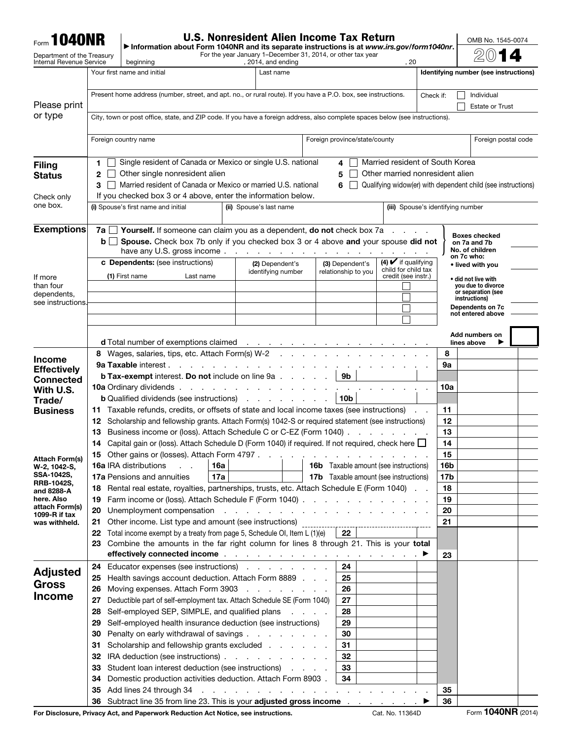| <b>Form 1040NR</b>                     |                                                                                                                                                                                                                                            | Information about Form 1040NR and its separate instructions is at www.irs.gov/form1040nr.                                                                                                                                                                            |                                                                                                                 |                                          | <b>U.S. Nonresident Alien Income Tax Return</b>                                                 |                                            |           | OMB No. 1545-0074                                            |  |
|----------------------------------------|--------------------------------------------------------------------------------------------------------------------------------------------------------------------------------------------------------------------------------------------|----------------------------------------------------------------------------------------------------------------------------------------------------------------------------------------------------------------------------------------------------------------------|-----------------------------------------------------------------------------------------------------------------|------------------------------------------|-------------------------------------------------------------------------------------------------|--------------------------------------------|-----------|--------------------------------------------------------------|--|
| Department of the Treasury             |                                                                                                                                                                                                                                            |                                                                                                                                                                                                                                                                      |                                                                                                                 |                                          | For the year January 1-December 31, 2014, or other tax year                                     |                                            |           |                                                              |  |
| <b>Internal Revenue Service</b>        |                                                                                                                                                                                                                                            | beginning<br>Your first name and initial                                                                                                                                                                                                                             |                                                                                                                 | , 2014, and ending<br>Last name          |                                                                                                 | , 20                                       |           | Identifying number (see instructions)                        |  |
|                                        |                                                                                                                                                                                                                                            |                                                                                                                                                                                                                                                                      |                                                                                                                 |                                          |                                                                                                 |                                            |           |                                                              |  |
| Please print                           |                                                                                                                                                                                                                                            | Present home address (number, street, and apt. no., or rural route). If you have a P.O. box, see instructions.                                                                                                                                                       |                                                                                                                 |                                          |                                                                                                 |                                            | Check if: | Individual<br><b>Estate or Trust</b>                         |  |
| or type                                |                                                                                                                                                                                                                                            | City, town or post office, state, and ZIP code. If you have a foreign address, also complete spaces below (see instructions).                                                                                                                                        |                                                                                                                 |                                          |                                                                                                 |                                            |           |                                                              |  |
|                                        |                                                                                                                                                                                                                                            |                                                                                                                                                                                                                                                                      |                                                                                                                 |                                          |                                                                                                 |                                            |           |                                                              |  |
|                                        |                                                                                                                                                                                                                                            | Foreign country name                                                                                                                                                                                                                                                 |                                                                                                                 |                                          | Foreign province/state/county                                                                   |                                            |           | Foreign postal code                                          |  |
| <b>Filing</b>                          | 1.                                                                                                                                                                                                                                         | Single resident of Canada or Mexico or single U.S. national                                                                                                                                                                                                          |                                                                                                                 |                                          | 4                                                                                               | Married resident of South Korea            |           |                                                              |  |
| <b>Status</b>                          | 2                                                                                                                                                                                                                                          | Other married nonresident alien                                                                                                                                                                                                                                      |                                                                                                                 |                                          |                                                                                                 |                                            |           |                                                              |  |
|                                        | 3                                                                                                                                                                                                                                          | Married resident of Canada or Mexico or married U.S. national                                                                                                                                                                                                        |                                                                                                                 |                                          | 6                                                                                               |                                            |           | Qualifying widow(er) with dependent child (see instructions) |  |
| Check only<br>one box.                 | If you checked box 3 or 4 above, enter the information below.<br>(i) Spouse's first name and initial<br>(ii) Spouse's last name<br>(iii) Spouse's identifying number                                                                       |                                                                                                                                                                                                                                                                      |                                                                                                                 |                                          |                                                                                                 |                                            |           |                                                              |  |
|                                        |                                                                                                                                                                                                                                            |                                                                                                                                                                                                                                                                      |                                                                                                                 |                                          |                                                                                                 |                                            |           |                                                              |  |
| <b>Exemptions</b>                      |                                                                                                                                                                                                                                            | <b>7a</b> $\Box$ <b>Yourself.</b> If someone can claim you as a dependent, <b>do not</b> check box 7a $\Box$ .                                                                                                                                                       |                                                                                                                 |                                          |                                                                                                 |                                            |           | <b>Boxes checked</b>                                         |  |
|                                        | bll                                                                                                                                                                                                                                        | Spouse. Check box 7b only if you checked box 3 or 4 above and your spouse did not<br>have any U.S. gross income                                                                                                                                                      |                                                                                                                 |                                          |                                                                                                 |                                            |           | on 7a and 7b<br>No. of children                              |  |
|                                        |                                                                                                                                                                                                                                            | c Dependents: (see instructions)                                                                                                                                                                                                                                     |                                                                                                                 | (2) Dependent's                          | (3) Dependent's                                                                                 | $(4)$ $\vee$ if qualifying                 |           | on 7c who:<br>• lived with you                               |  |
| If more                                |                                                                                                                                                                                                                                            | (1) First name<br>Last name                                                                                                                                                                                                                                          |                                                                                                                 | identifying number                       | relationship to you                                                                             | child for child tax<br>credit (see instr.) |           | • did not live with                                          |  |
| than four<br>dependents,               |                                                                                                                                                                                                                                            |                                                                                                                                                                                                                                                                      |                                                                                                                 |                                          |                                                                                                 |                                            |           | you due to divorce<br>or separation (see                     |  |
| see instructions.                      |                                                                                                                                                                                                                                            |                                                                                                                                                                                                                                                                      |                                                                                                                 |                                          |                                                                                                 |                                            |           | instructions)<br>Dependents on 7c                            |  |
|                                        |                                                                                                                                                                                                                                            |                                                                                                                                                                                                                                                                      |                                                                                                                 |                                          |                                                                                                 |                                            |           | not entered above                                            |  |
|                                        |                                                                                                                                                                                                                                            |                                                                                                                                                                                                                                                                      |                                                                                                                 |                                          |                                                                                                 |                                            |           | Add numbers on                                               |  |
|                                        |                                                                                                                                                                                                                                            | d Total number of exemptions claimed<br>8 Wages, salaries, tips, etc. Attach Form(s) W-2                                                                                                                                                                             |                                                                                                                 | the contract of the contract of the      | and a straight and a straight and                                                               |                                            | 8         | lines above                                                  |  |
| <b>Income</b>                          |                                                                                                                                                                                                                                            | <b>9a Taxable interest.</b>                                                                                                                                                                                                                                          | the contract of the contract of the contract of the contract of the contract of the contract of the contract of |                                          |                                                                                                 |                                            | 9а        |                                                              |  |
| <b>Effectively</b><br><b>Connected</b> |                                                                                                                                                                                                                                            | <b>b Tax-exempt interest. Do not include on line 9a.</b>                                                                                                                                                                                                             |                                                                                                                 |                                          | 9b<br>$\ddot{\phantom{a}}$                                                                      |                                            |           |                                                              |  |
| With U.S.                              |                                                                                                                                                                                                                                            | <b>10a</b> Ordinary dividends.                                                                                                                                                                                                                                       |                                                                                                                 | the contract of the contract of the con- |                                                                                                 |                                            | 10a       |                                                              |  |
| Trade/<br><b>Business</b>              | 11.                                                                                                                                                                                                                                        | <b>b</b> Qualified dividends (see instructions)<br>Taxable refunds, credits, or offsets of state and local income taxes (see instructions)                                                                                                                           |                                                                                                                 |                                          | 10 <sub>b</sub>                                                                                 |                                            | 11        |                                                              |  |
|                                        | 12                                                                                                                                                                                                                                         | Scholarship and fellowship grants. Attach Form(s) 1042-S or required statement (see instructions)                                                                                                                                                                    | 12                                                                                                              |                                          |                                                                                                 |                                            |           |                                                              |  |
|                                        | 13                                                                                                                                                                                                                                         | Business income or (loss). Attach Schedule C or C-EZ (Form 1040).                                                                                                                                                                                                    | 13<br>and a state of the                                                                                        |                                          |                                                                                                 |                                            |           |                                                              |  |
|                                        | 14                                                                                                                                                                                                                                         | Capital gain or (loss). Attach Schedule D (Form 1040) if required. If not required, check here □                                                                                                                                                                     | 14                                                                                                              |                                          |                                                                                                 |                                            |           |                                                              |  |
| Attach Form(s)<br>W-2, 1042-S,         |                                                                                                                                                                                                                                            | 15 Other gains or (losses). Attach Form 4797<br><b>16a IRA distributions</b>                                                                                                                                                                                         | 16a                                                                                                             |                                          | the contract of the contract of the contract of<br><b>16b</b> Taxable amount (see instructions) |                                            | 15<br>16b |                                                              |  |
| SSA-1042S,                             |                                                                                                                                                                                                                                            | 17a Pensions and annuities                                                                                                                                                                                                                                           | 17a                                                                                                             |                                          | <b>17b</b> Taxable amount (see instructions)                                                    |                                            | 17b       |                                                              |  |
| <b>RRB-1042S,</b><br>and 8288-A        | 18                                                                                                                                                                                                                                         | Rental real estate, royalties, partnerships, trusts, etc. Attach Schedule E (Form 1040)                                                                                                                                                                              | 18                                                                                                              |                                          |                                                                                                 |                                            |           |                                                              |  |
| here. Also<br>attach Form(s)           | Farm income or (loss). Attach Schedule F (Form 1040)<br>19                                                                                                                                                                                 |                                                                                                                                                                                                                                                                      |                                                                                                                 |                                          |                                                                                                 |                                            |           |                                                              |  |
| 1099-R if tax<br>was withheld.         | Unemployment compensation resolution and resolution of the set of the set of the set of the set of the set of the set of the set of the set of the set of the set of the set of the set of the set of the set of the set of th<br>20<br>21 |                                                                                                                                                                                                                                                                      |                                                                                                                 |                                          |                                                                                                 |                                            |           |                                                              |  |
|                                        | 22                                                                                                                                                                                                                                         | Total income exempt by a treaty from page 5, Schedule OI, Item L (1)(e)                                                                                                                                                                                              |                                                                                                                 |                                          | 22                                                                                              |                                            | 21        |                                                              |  |
|                                        | 23                                                                                                                                                                                                                                         | Combine the amounts in the far right column for lines 8 through 21. This is your total                                                                                                                                                                               |                                                                                                                 |                                          |                                                                                                 |                                            |           |                                                              |  |
|                                        | 24                                                                                                                                                                                                                                         | effectively connected income with a substitution of the state of the state of the books of the state of the state of the state of the state of the state of the state of the state of the state of the state of the state of<br>Educator expenses (see instructions) |                                                                                                                 |                                          | 24                                                                                              |                                            | 23        |                                                              |  |
| <b>Adjusted</b>                        | 25                                                                                                                                                                                                                                         | Health savings account deduction. Attach Form 8889                                                                                                                                                                                                                   |                                                                                                                 |                                          | 25                                                                                              |                                            |           |                                                              |  |
| <b>Gross</b>                           | 26                                                                                                                                                                                                                                         | Moving expenses. Attach Form 3903                                                                                                                                                                                                                                    |                                                                                                                 |                                          | 26                                                                                              |                                            |           |                                                              |  |
| <b>Income</b>                          | 27                                                                                                                                                                                                                                         | Deductible part of self-employment tax. Attach Schedule SE (Form 1040)                                                                                                                                                                                               |                                                                                                                 |                                          | 27                                                                                              |                                            |           |                                                              |  |
|                                        | 28                                                                                                                                                                                                                                         | Self-employed SEP, SIMPLE, and qualified plans                                                                                                                                                                                                                       |                                                                                                                 |                                          | 28                                                                                              |                                            |           |                                                              |  |
|                                        | 29<br>30                                                                                                                                                                                                                                   | Self-employed health insurance deduction (see instructions)<br>Penalty on early withdrawal of savings                                                                                                                                                                |                                                                                                                 |                                          | 29<br>30                                                                                        |                                            |           |                                                              |  |
|                                        | 31                                                                                                                                                                                                                                         | Scholarship and fellowship grants excluded                                                                                                                                                                                                                           |                                                                                                                 |                                          | 31                                                                                              |                                            |           |                                                              |  |
|                                        | 32                                                                                                                                                                                                                                         | IRA deduction (see instructions)                                                                                                                                                                                                                                     |                                                                                                                 |                                          | 32                                                                                              |                                            |           |                                                              |  |
|                                        | 33                                                                                                                                                                                                                                         | Student loan interest deduction (see instructions)                                                                                                                                                                                                                   |                                                                                                                 |                                          | 33                                                                                              |                                            |           |                                                              |  |
|                                        | 34<br>35                                                                                                                                                                                                                                   | Domestic production activities deduction. Attach Form 8903.                                                                                                                                                                                                          |                                                                                                                 |                                          | 34                                                                                              |                                            | 35        |                                                              |  |
|                                        | 36                                                                                                                                                                                                                                         | Subtract line 35 from line 23. This is your adjusted gross income                                                                                                                                                                                                    |                                                                                                                 |                                          |                                                                                                 |                                            | 36        |                                                              |  |

For Disclosure, Privacy Act, and Paperwork Reduction Act Notice, see instructions. Cat. No. 11364D Form **1040NR** (2014)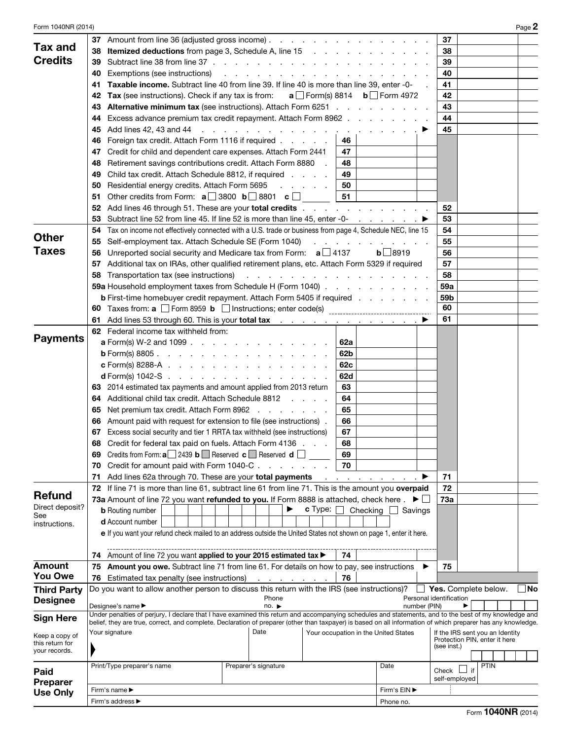| Form 1040NR (2014)                |                                                                                                                                                                                                                                                                                                                       |                         | Page 2                            |
|-----------------------------------|-----------------------------------------------------------------------------------------------------------------------------------------------------------------------------------------------------------------------------------------------------------------------------------------------------------------------|-------------------------|-----------------------------------|
|                                   | 37 Amount from line 36 (adjusted gross income)                                                                                                                                                                                                                                                                        |                         | 37                                |
| <b>Tax and</b>                    | 38                                                                                                                                                                                                                                                                                                                    |                         | 38                                |
| <b>Credits</b>                    | 39                                                                                                                                                                                                                                                                                                                    |                         | 39                                |
|                                   | Exemptions (see instructions)<br>40<br>the contract of the contract of the contract of the contract of the                                                                                                                                                                                                            |                         | 40                                |
|                                   | <b>Taxable income.</b> Subtract line 40 from line 39. If line 40 is more than line 39, enter -0-<br>41                                                                                                                                                                                                                |                         | 41                                |
|                                   | Tax (see instructions). Check if any tax is from: $a \Box$ Form(s) 8814 $b \Box$ Form 4972<br>42                                                                                                                                                                                                                      |                         | 42                                |
|                                   | <b>Alternative minimum tax</b> (see instructions). Attach Form 6251<br>43                                                                                                                                                                                                                                             |                         | 43                                |
|                                   | Excess advance premium tax credit repayment. Attach Form 8962<br>44                                                                                                                                                                                                                                                   |                         | 44                                |
|                                   | 45                                                                                                                                                                                                                                                                                                                    | 45                      |                                   |
|                                   | Foreign tax credit. Attach Form 1116 if required<br>46<br>46                                                                                                                                                                                                                                                          |                         |                                   |
|                                   | 47<br>Credit for child and dependent care expenses. Attach Form 2441                                                                                                                                                                                                                                                  |                         |                                   |
|                                   | 47                                                                                                                                                                                                                                                                                                                    |                         |                                   |
|                                   | Retirement savings contributions credit. Attach Form 8880<br>48<br>48                                                                                                                                                                                                                                                 |                         |                                   |
|                                   | Child tax credit. Attach Schedule 8812, if required<br>49<br>49                                                                                                                                                                                                                                                       |                         |                                   |
|                                   | Residential energy credits. Attach Form 5695<br>50<br>and the company<br>50                                                                                                                                                                                                                                           |                         |                                   |
|                                   | Other credits from Form: $\mathbf{a}$ 3800 $\mathbf{b}$ 3801 $\mathbf{c}$<br>51<br>51                                                                                                                                                                                                                                 |                         |                                   |
|                                   | Add lines 46 through 51. These are your <b>total credits</b><br>52                                                                                                                                                                                                                                                    |                         | 52                                |
|                                   | Subtract line 52 from line 45. If line 52 is more than line 45, enter -0- $\ldots$ $\ldots$<br>53                                                                                                                                                                                                                     |                         | 53                                |
| <b>Other</b>                      | Tax on income not effectively connected with a U.S. trade or business from page 4, Schedule NEC, line 15<br>54                                                                                                                                                                                                        |                         | 54                                |
|                                   | Self-employment tax. Attach Schedule SE (Form 1040)<br>and a state of the state of<br>55                                                                                                                                                                                                                              |                         | 55                                |
| <b>Taxes</b>                      | Unreported social security and Medicare tax from Form: $a \Box 4137$<br>56                                                                                                                                                                                                                                            | $b$ 8919                | 56                                |
|                                   | Additional tax on IRAs, other qualified retirement plans, etc. Attach Form 5329 if required<br>57                                                                                                                                                                                                                     |                         | 57                                |
|                                   | Transportation tax (see instructions)<br>and the contract of the contract of the contract of the<br>58                                                                                                                                                                                                                |                         | 58                                |
|                                   | 59a Household employment taxes from Schedule H (Form 1040)                                                                                                                                                                                                                                                            |                         | 59a                               |
|                                   | <b>b</b> First-time homebuyer credit repayment. Attach Form 5405 if required                                                                                                                                                                                                                                          |                         | 59 <sub>b</sub>                   |
|                                   | 60                                                                                                                                                                                                                                                                                                                    |                         | 60                                |
|                                   | Add lines 53 through 60. This is your total tax<br>61                                                                                                                                                                                                                                                                 |                         | 61                                |
|                                   | <b>62</b> Federal income tax withheld from:                                                                                                                                                                                                                                                                           |                         |                                   |
| <b>Payments</b>                   | <b>a</b> Form(s) W-2 and 1099<br>62a                                                                                                                                                                                                                                                                                  |                         |                                   |
|                                   | 62b<br><b>b</b> Form(s) 8805.                                                                                                                                                                                                                                                                                         |                         |                                   |
|                                   | <b>c</b> Form(s) 8288-A $\ldots$ $\ldots$ $\ldots$ $\ldots$ $\ldots$ $\ldots$<br>62c                                                                                                                                                                                                                                  |                         |                                   |
|                                   | 62d<br><b>d</b> Form(s) 1042-S $\ldots$ $\ldots$ $\ldots$ $\ldots$ $\ldots$ $\ldots$ $\ldots$                                                                                                                                                                                                                         |                         |                                   |
|                                   | 63 2014 estimated tax payments and amount applied from 2013 return<br>63                                                                                                                                                                                                                                              |                         |                                   |
|                                   | Additional child tax credit. Attach Schedule 8812<br>64<br>64                                                                                                                                                                                                                                                         |                         |                                   |
|                                   | Net premium tax credit. Attach Form 8962<br>65<br>65                                                                                                                                                                                                                                                                  |                         |                                   |
|                                   | Amount paid with request for extension to file (see instructions).<br>66<br>66                                                                                                                                                                                                                                        |                         |                                   |
|                                   | 67 Excess social security and tier 1 RRTA tax withheld (see instructions)<br>67                                                                                                                                                                                                                                       |                         |                                   |
|                                   | 68 Credit for federal tax paid on fuels. Attach Form 4136<br>68                                                                                                                                                                                                                                                       |                         |                                   |
|                                   | Credits from Form: $a \Box 2439 b \Box$ Reserved $c \Box$ Reserved $d \Box$<br>69<br>69                                                                                                                                                                                                                               |                         |                                   |
|                                   | 70<br>Credit for amount paid with Form 1040-C<br>70                                                                                                                                                                                                                                                                   |                         |                                   |
|                                   | Add lines 62a through 70. These are your total payments<br>71                                                                                                                                                                                                                                                         |                         | 71                                |
|                                   | 72 If line 71 is more than line 61, subtract line 61 from line 71. This is the amount you overpaid                                                                                                                                                                                                                    |                         | 72                                |
| <b>Refund</b>                     | 73a Amount of line 72 you want refunded to you. If Form 8888 is attached, check here $. \blacktriangleright \Box$                                                                                                                                                                                                     |                         | 73a                               |
| Direct deposit?                   | c Type:<br><b>b</b> Routing number                                                                                                                                                                                                                                                                                    | Checking $\Box$ Savings |                                   |
| See<br>instructions.              | <b>d</b> Account number                                                                                                                                                                                                                                                                                               |                         |                                   |
|                                   | e If you want your refund check mailed to an address outside the United States not shown on page 1, enter it here.                                                                                                                                                                                                    |                         |                                   |
|                                   |                                                                                                                                                                                                                                                                                                                       |                         |                                   |
|                                   | 74 Amount of line 72 you want applied to your 2015 estimated tax ><br>74                                                                                                                                                                                                                                              |                         |                                   |
| <b>Amount</b>                     | 75 Amount you owe. Subtract line 71 from line 61. For details on how to pay, see instructions                                                                                                                                                                                                                         |                         | 75                                |
| <b>You Owe</b>                    | 76<br>76 Estimated tax penalty (see instructions)<br>and the state of                                                                                                                                                                                                                                                 |                         |                                   |
| <b>Third Party</b>                | Do you want to allow another person to discuss this return with the IRS (see instructions)?                                                                                                                                                                                                                           |                         | No<br>$\Box$ Yes. Complete below. |
| <b>Designee</b>                   | Phone                                                                                                                                                                                                                                                                                                                 |                         | Personal identification           |
|                                   | Designee's name ▶<br>no.                                                                                                                                                                                                                                                                                              | number (PIN)            |                                   |
| <b>Sign Here</b>                  | Under penalties of perjury, I declare that I have examined this return and accompanying schedules and statements, and to the best of my knowledge and<br>belief, they are true, correct, and complete. Declaration of preparer (other than taxpayer) is based on all information of which preparer has any knowledge. |                         |                                   |
|                                   | Date<br>Your signature<br>Your occupation in the United States                                                                                                                                                                                                                                                        |                         | If the IRS sent you an Identity   |
| Keep a copy of<br>this return for |                                                                                                                                                                                                                                                                                                                       |                         | Protection PIN, enter it here     |
| your records.                     |                                                                                                                                                                                                                                                                                                                       |                         | (see inst.)                       |
|                                   | Print/Type preparer's name<br>Preparer's signature                                                                                                                                                                                                                                                                    | Date                    | <b>PTIN</b>                       |
| Paid                              |                                                                                                                                                                                                                                                                                                                       |                         | if<br>Check L                     |
| <b>Preparer</b>                   |                                                                                                                                                                                                                                                                                                                       |                         | self-employed                     |
| <b>Use Only</b>                   | Firm's name ▶                                                                                                                                                                                                                                                                                                         | Firm's EIN ▶            |                                   |
|                                   | Firm's address ▶                                                                                                                                                                                                                                                                                                      | Phone no.               |                                   |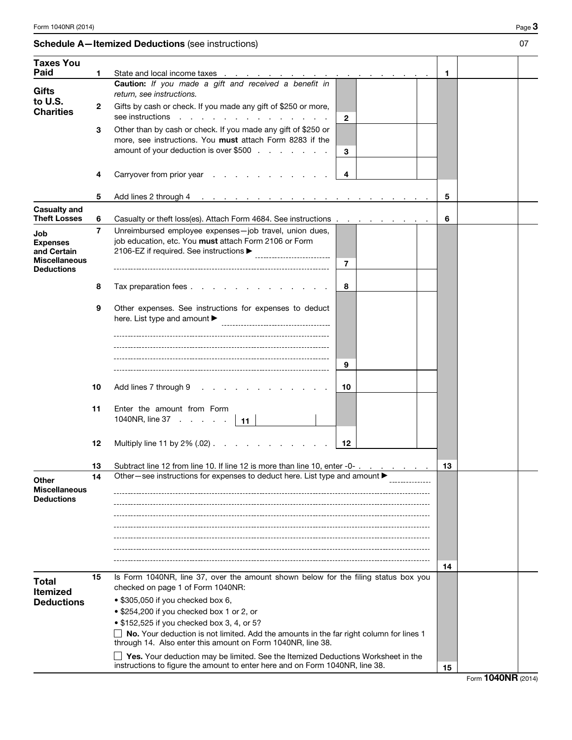## Schedule A-Itemized Deductions (see instructions) 07

| <b>Taxes You</b>                           |    |                                                                                                                                                                                                       |              |  |    |  |
|--------------------------------------------|----|-------------------------------------------------------------------------------------------------------------------------------------------------------------------------------------------------------|--------------|--|----|--|
| Paid                                       | 1  | State and local income taxes                                                                                                                                                                          |              |  | 1  |  |
| <b>Gifts</b>                               |    | Caution: If you made a gift and received a benefit in<br>return, see instructions.                                                                                                                    |              |  |    |  |
| to U.S.<br><b>Charities</b>                | 2  | Gifts by cash or check. If you made any gift of \$250 or more,<br>see instructions<br>the contract of the contract of the contract of the contract of the contract of the contract of the contract of | $\mathbf{2}$ |  |    |  |
|                                            | 3  | Other than by cash or check. If you made any gift of \$250 or                                                                                                                                         |              |  |    |  |
|                                            |    | more, see instructions. You must attach Form 8283 if the                                                                                                                                              |              |  |    |  |
|                                            |    | amount of your deduction is over \$500                                                                                                                                                                | 3            |  |    |  |
|                                            |    |                                                                                                                                                                                                       |              |  |    |  |
|                                            | 4  | Carryover from prior year                                                                                                                                                                             | 4            |  |    |  |
|                                            |    |                                                                                                                                                                                                       |              |  |    |  |
|                                            | 5  | Add lines 2 through 4<br>and a series of the contract of the contract of the contract of the contract of the contract of the contract of                                                              |              |  | 5  |  |
| <b>Casualty and</b><br><b>Theft Losses</b> | 6  | Casualty or theft loss(es). Attach Form 4684. See instructions                                                                                                                                        |              |  | 6  |  |
|                                            | 7  | Unreimbursed employee expenses-job travel, union dues,                                                                                                                                                |              |  |    |  |
| Job<br><b>Expenses</b>                     |    | job education, etc. You must attach Form 2106 or Form                                                                                                                                                 |              |  |    |  |
| and Certain                                |    | 2106-EZ if required. See instructions ▶                                                                                                                                                               |              |  |    |  |
| <b>Miscellaneous</b>                       |    |                                                                                                                                                                                                       | 7            |  |    |  |
| <b>Deductions</b>                          |    |                                                                                                                                                                                                       |              |  |    |  |
|                                            | 8  | Tax preparation fees                                                                                                                                                                                  | 8            |  |    |  |
|                                            |    |                                                                                                                                                                                                       |              |  |    |  |
|                                            | 9  | Other expenses. See instructions for expenses to deduct                                                                                                                                               |              |  |    |  |
|                                            |    | here. List type and amount ▶<br>-----------------------------------                                                                                                                                   |              |  |    |  |
|                                            |    |                                                                                                                                                                                                       |              |  |    |  |
|                                            |    |                                                                                                                                                                                                       |              |  |    |  |
|                                            |    |                                                                                                                                                                                                       |              |  |    |  |
|                                            |    |                                                                                                                                                                                                       | 9            |  |    |  |
|                                            |    |                                                                                                                                                                                                       |              |  |    |  |
|                                            | 10 | Add lines 7 through 9<br>and a state of the state of the state of                                                                                                                                     | 10           |  |    |  |
|                                            | 11 | Enter the amount from Form                                                                                                                                                                            |              |  |    |  |
|                                            |    | 1040NR, line $37 \cdot \cdot \cdot \cdot \cdot$<br>$-11$                                                                                                                                              |              |  |    |  |
|                                            |    |                                                                                                                                                                                                       |              |  |    |  |
|                                            | 12 | Multiply line 11 by $2\%$ (.02)                                                                                                                                                                       | 12           |  |    |  |
|                                            |    |                                                                                                                                                                                                       |              |  |    |  |
|                                            | 13 | Subtract line 12 from line 10. If line 12 is more than line 10, enter -0-                                                                                                                             |              |  | 13 |  |
| Other                                      |    | Other-see instructions for expenses to deduct here. List type and amount ▶                                                                                                                            |              |  |    |  |
| <b>Miscellaneous</b>                       |    |                                                                                                                                                                                                       |              |  |    |  |
| <b>Deductions</b>                          |    |                                                                                                                                                                                                       |              |  |    |  |
|                                            |    |                                                                                                                                                                                                       |              |  |    |  |
|                                            |    |                                                                                                                                                                                                       |              |  |    |  |
|                                            |    |                                                                                                                                                                                                       |              |  |    |  |
|                                            |    |                                                                                                                                                                                                       |              |  |    |  |
|                                            |    |                                                                                                                                                                                                       |              |  | 14 |  |
| <b>Total</b>                               | 15 | Is Form 1040NR, line 37, over the amount shown below for the filing status box you                                                                                                                    |              |  |    |  |
| <b>Itemized</b>                            |    | checked on page 1 of Form 1040NR:                                                                                                                                                                     |              |  |    |  |
| <b>Deductions</b>                          |    | • \$305,050 if you checked box 6,                                                                                                                                                                     |              |  |    |  |
|                                            |    | • \$254,200 if you checked box 1 or 2, or                                                                                                                                                             |              |  |    |  |
|                                            |    | • \$152,525 if you checked box 3, 4, or 5?                                                                                                                                                            |              |  |    |  |
|                                            |    | No. Your deduction is not limited. Add the amounts in the far right column for lines 1<br>through 14. Also enter this amount on Form 1040NR, line 38.                                                 |              |  |    |  |
|                                            |    | Yes. Your deduction may be limited. See the Itemized Deductions Worksheet in the                                                                                                                      |              |  |    |  |

instructions to figure the amount to enter here and on Form 1040NR, line 38.  $\boxed{15}$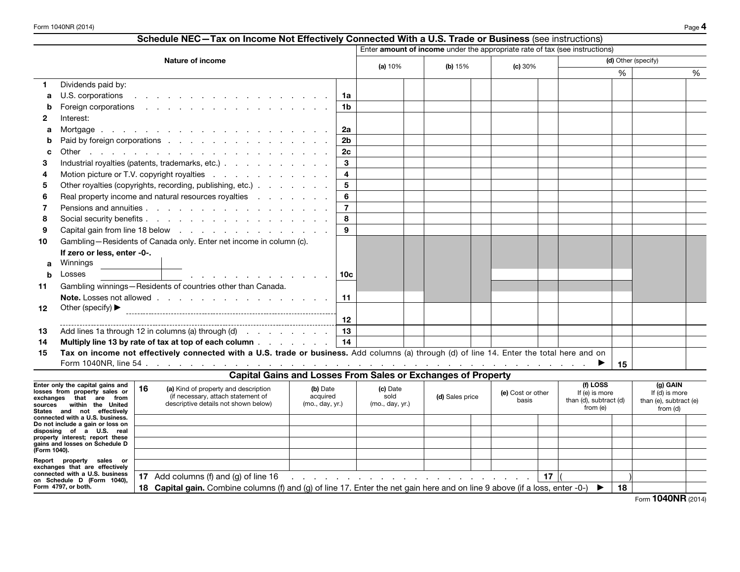|         | Schedule NEC-Tax on Income Not Effectively Connected With a U.S. Trade or Business (see instructions)                                                                                                                          |                         |           |           |                                                                             |        |                     |            |   |
|---------|--------------------------------------------------------------------------------------------------------------------------------------------------------------------------------------------------------------------------------|-------------------------|-----------|-----------|-----------------------------------------------------------------------------|--------|---------------------|------------|---|
|         |                                                                                                                                                                                                                                |                         |           |           | Enter amount of income under the appropriate rate of tax (see instructions) |        |                     |            |   |
|         | Nature of income                                                                                                                                                                                                               |                         | (a) $10%$ | (b) $15%$ | (c) 30%                                                                     |        | (d) Other (specify) |            |   |
|         |                                                                                                                                                                                                                                |                         |           |           |                                                                             |        | %                   |            | % |
|         | Dividends paid by:                                                                                                                                                                                                             |                         |           |           |                                                                             |        |                     |            |   |
| а       | U.S. corporations in the contract of the contract of the contract of the contract of the contract of the contract of the contract of the contract of the contract of the contract of the contract of the contract of the contr | 1a                      |           |           |                                                                             |        |                     |            |   |
|         |                                                                                                                                                                                                                                | 1 <sub>b</sub>          |           |           |                                                                             |        |                     |            |   |
| 2       | Interest:                                                                                                                                                                                                                      |                         |           |           |                                                                             |        |                     |            |   |
| а       |                                                                                                                                                                                                                                | <b>2a</b>               |           |           |                                                                             |        |                     |            |   |
|         | Paid by foreign corporations                                                                                                                                                                                                   | 2 <sub>b</sub>          |           |           |                                                                             |        |                     |            |   |
|         |                                                                                                                                                                                                                                | 2c                      |           |           |                                                                             |        |                     |            |   |
| з       | Industrial royalties (patents, trademarks, etc.)                                                                                                                                                                               | $\mathbf{3}$            |           |           |                                                                             |        |                     |            |   |
|         | Motion picture or T.V. copyright royalties                                                                                                                                                                                     | $\overline{\mathbf{4}}$ |           |           |                                                                             |        |                     |            |   |
| 5       | Other royalties (copyrights, recording, publishing, etc.)                                                                                                                                                                      | $5\phantom{.0}$         |           |           |                                                                             |        |                     |            |   |
| 6       | Real property income and natural resources royalties                                                                                                                                                                           | 6                       |           |           |                                                                             |        |                     |            |   |
|         |                                                                                                                                                                                                                                | $\overline{7}$          |           |           |                                                                             |        |                     |            |   |
| 8       |                                                                                                                                                                                                                                | 8                       |           |           |                                                                             |        |                     |            |   |
| 9       | Capital gain from line 18 below                                                                                                                                                                                                | 9                       |           |           |                                                                             |        |                     |            |   |
| 10      | Gambling-Residents of Canada only. Enter net income in column (c).                                                                                                                                                             |                         |           |           |                                                                             |        |                     |            |   |
|         | If zero or less, enter -0-.                                                                                                                                                                                                    |                         |           |           |                                                                             |        |                     |            |   |
| a       | Winnings                                                                                                                                                                                                                       |                         |           |           |                                                                             |        |                     |            |   |
| h       | Losses<br>and the contract of the contract of the contract of                                                                                                                                                                  | 10 <sub>c</sub>         |           |           |                                                                             |        |                     |            |   |
| 11      | Gambling winnings-Residents of countries other than Canada.                                                                                                                                                                    |                         |           |           |                                                                             |        |                     |            |   |
|         |                                                                                                                                                                                                                                | 11                      |           |           |                                                                             |        |                     |            |   |
| $12 \,$ | Other (specify) $\blacktriangleright$                                                                                                                                                                                          |                         |           |           |                                                                             |        |                     |            |   |
|         |                                                                                                                                                                                                                                | 12                      |           |           |                                                                             |        |                     |            |   |
| 13      | Add lines 1a through 12 in columns (a) through (d) $\ldots$ $\ldots$ $\ldots$                                                                                                                                                  | 13                      |           |           |                                                                             |        |                     |            |   |
| 14      | Multiply line 13 by rate of tax at top of each column $\ldots$ $\ldots$ $\ldots$                                                                                                                                               | 14                      |           |           |                                                                             |        |                     |            |   |
| 15      | Tax on income not effectively connected with a U.S. trade or business. Add columns (a) through (d) of line 14. Enter the total here and on                                                                                     |                         |           |           |                                                                             |        |                     |            |   |
|         |                                                                                                                                                                                                                                |                         |           |           |                                                                             |        | 15                  |            |   |
|         | <b>Capital Gains and Losses From Sales or Exchanges of Property</b>                                                                                                                                                            |                         |           |           |                                                                             |        |                     |            |   |
|         | Enter only the canital gains and $\ $ .                                                                                                                                                                                        |                         |           |           |                                                                             | f11055 |                     | $(n)$ GAIN |   |

| Enter only the capital gains and<br>losses from property sales or<br>that are<br>exchanges<br>from<br>within the United<br>sources<br>States and not effectively | 16 | (a) Kind of property and description<br>(if necessary, attach statement of<br>descriptive details not shown below)              | (b) Date<br>acquired<br>(mo., day, yr.)                                                                                                                                                                                        | (c) Date<br>sold<br>(mo., day, yr.) | (d) Sales price | (e) Cost or other<br>basis |    | (f) LOSS<br>If (e) is more<br>than (d), subtract (d)<br>from (e) |    | (g) GAIN<br>If (d) is more<br>than (e), subtract (e)<br>from (d) |  |
|------------------------------------------------------------------------------------------------------------------------------------------------------------------|----|---------------------------------------------------------------------------------------------------------------------------------|--------------------------------------------------------------------------------------------------------------------------------------------------------------------------------------------------------------------------------|-------------------------------------|-----------------|----------------------------|----|------------------------------------------------------------------|----|------------------------------------------------------------------|--|
| connected with a U.S. business.<br>Do not include a gain or loss on                                                                                              |    |                                                                                                                                 |                                                                                                                                                                                                                                |                                     |                 |                            |    |                                                                  |    |                                                                  |  |
| disposing of a U.S. real                                                                                                                                         |    |                                                                                                                                 |                                                                                                                                                                                                                                |                                     |                 |                            |    |                                                                  |    |                                                                  |  |
| property interest; report these<br>gains and losses on Schedule D                                                                                                |    |                                                                                                                                 |                                                                                                                                                                                                                                |                                     |                 |                            |    |                                                                  |    |                                                                  |  |
| (Form 1040).                                                                                                                                                     |    |                                                                                                                                 |                                                                                                                                                                                                                                |                                     |                 |                            |    |                                                                  |    |                                                                  |  |
| property sales or<br>Report<br>exchanges that are effectively                                                                                                    |    |                                                                                                                                 |                                                                                                                                                                                                                                |                                     |                 |                            |    |                                                                  |    |                                                                  |  |
| connected with a U.S. business<br>on Schedule D (Form 1040).                                                                                                     | 17 | Add columns (f) and (g) of line 16                                                                                              | and a series of the contract of the contract of the contract of the contract of the contract of the contract of the contract of the contract of the contract of the contract of the contract of the contract of the contract o |                                     |                 |                            | 17 |                                                                  |    |                                                                  |  |
| Form 4797, or both.                                                                                                                                              | 18 | <b>Capital gain.</b> Combine columns (f) and (g) of line 17. Enter the net gain here and on line 9 above (if a loss, enter -0-) |                                                                                                                                                                                                                                |                                     |                 |                            |    |                                                                  | 18 |                                                                  |  |
|                                                                                                                                                                  |    |                                                                                                                                 |                                                                                                                                                                                                                                |                                     |                 |                            |    |                                                                  |    | $A \cap A \cap B \cap \ldots$<br>$-$                             |  |

Form 1040NR (2014)